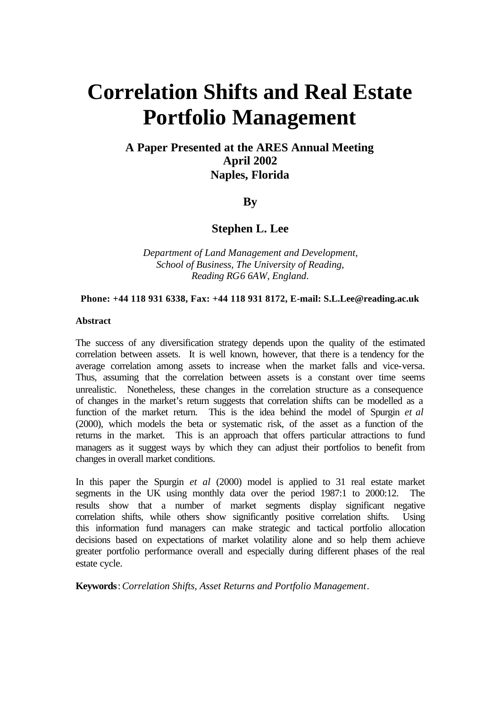# **Correlation Shifts and Real Estate Portfolio Management**

# **A Paper Presented at the ARES Annual Meeting April 2002 Naples, Florida**

# **By**

# **Stephen L. Lee**

*Department of Land Management and Development, School of Business, The University of Reading, Reading RG6 6AW, England*.

#### **Phone: +44 118 931 6338, Fax: +44 118 931 8172, E-mail: S.L.Lee@reading.ac.uk**

## **Abstract**

The success of any diversification strategy depends upon the quality of the estimated correlation between assets. It is well known, however, that there is a tendency for the average correlation among assets to increase when the market falls and vice-versa. Thus, assuming that the correlation between assets is a constant over time seems unrealistic. Nonetheless, these changes in the correlation structure as a consequence of changes in the market's return suggests that correlation shifts can be modelled as a function of the market return. This is the idea behind the model of Spurgin *et al*  (2000), which models the beta or systematic risk, of the asset as a function of the returns in the market. This is an approach that offers particular attractions to fund managers as it suggest ways by which they can adjust their portfolios to benefit from changes in overall market conditions.

In this paper the Spurgin *et al* (2000) model is applied to 31 real estate market segments in the UK using monthly data over the period 1987:1 to 2000:12. The results show that a number of market segments display significant negative correlation shifts, while others show significantly positive correlation shifts. Using this information fund managers can make strategic and tactical portfolio allocation decisions based on expectations of market volatility alone and so help them achieve greater portfolio performance overall and especially during different phases of the real estate cycle.

**Keywords**: *Correlation Shifts, Asset Returns and Portfolio Management*.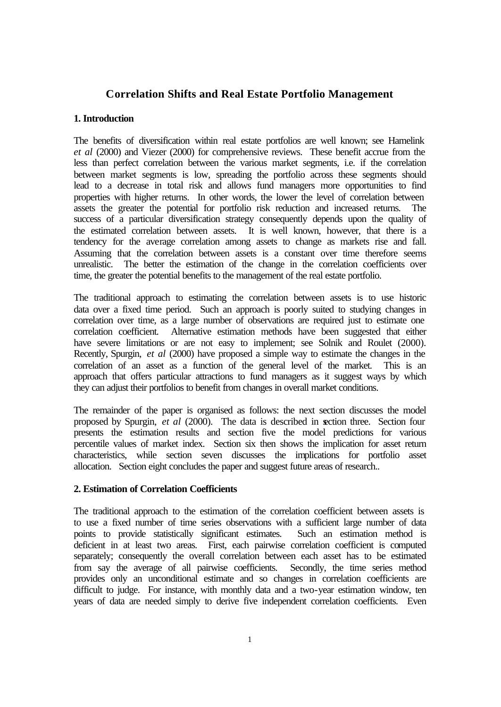# **Correlation Shifts and Real Estate Portfolio Management**

# **1. Introduction**

The benefits of diversification within real estate portfolios are well known; see Hamelink *et al* (2000) and Viezer (2000) for comprehensive reviews. These benefit accrue from the less than perfect correlation between the various market segments, i.e. if the correlation between market segments is low, spreading the portfolio across these segments should lead to a decrease in total risk and allows fund managers more opportunities to find properties with higher returns. In other words, the lower the level of correlation between assets the greater the potential for portfolio risk reduction and increased returns. The success of a particular diversification strategy consequently depends upon the quality of the estimated correlation between assets. It is well known, however, that there is a tendency for the average correlation among assets to change as markets rise and fall. Assuming that the correlation between assets is a constant over time therefore seems unrealistic. The better the estimation of the change in the correlation coefficients over time, the greater the potential benefits to the management of the real estate portfolio.

The traditional approach to estimating the correlation between assets is to use historic data over a fixed time period. Such an approach is poorly suited to studying changes in correlation over time, as a large number of observations are required just to estimate one correlation coefficient. Alternative estimation methods have been suggested that either have severe limitations or are not easy to implement; see Solnik and Roulet (2000). Recently, Spurgin, *et al* (2000) have proposed a simple way to estimate the changes in the correlation of an asset as a function of the general level of the market. This is an approach that offers particular attractions to fund managers as it suggest ways by which they can adjust their portfolios to benefit from changes in overall market conditions.

The remainder of the paper is organised as follows: the next section discusses the model proposed by Spurgin, *et al* (2000). The data is described in section three. Section four presents the estimation results and section five the model predictions for various percentile values of market index. Section six then shows the implication for asset return characteristics, while section seven discusses the implications for portfolio asset allocation. Section eight concludes the paper and suggest future areas of research..

## **2. Estimation of Correlation Coefficients**

The traditional approach to the estimation of the correlation coefficient between assets is to use a fixed number of time series observations with a sufficient large number of data points to provide statistically significant estimates. Such an estimation method is deficient in at least two areas. First, each pairwise correlation coefficient is computed separately; consequently the overall correlation between each asset has to be estimated from say the average of all pairwise coefficients. Secondly, the time series method provides only an unconditional estimate and so changes in correlation coefficients are difficult to judge. For instance, with monthly data and a two-year estimation window, ten years of data are needed simply to derive five independent correlation coefficients. Even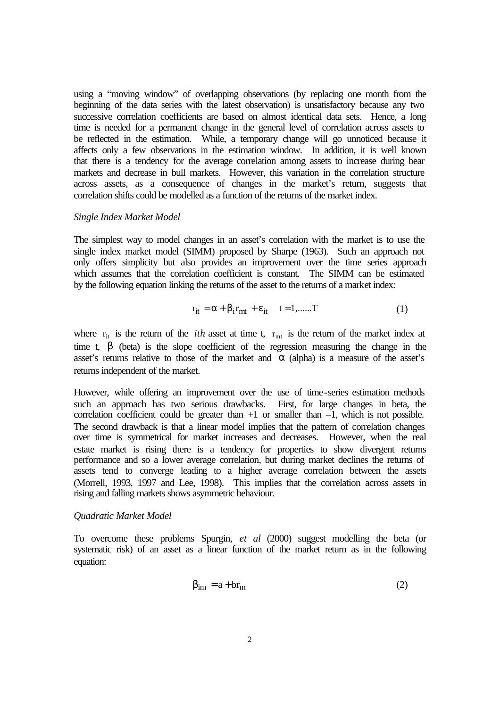using a "moving window" of overlapping observations (by replacing one month from the beginning of the data series with the latest observation) is unsatisfactory because any two successive correlation coefficients are based on almost identical data sets. Hence, a long time is needed for a permanent change in the general level of correlation across assets to be reflected in the estimation. While, a temporary change will go unnoticed because it affects only a few observations in the estimation window. In addition, it is well known that there is a tendency for the average correlation among assets to increase during bear markets and decrease in bull markets. However, this variation in the correlation structure across assets, as a consequence of changes in the market's return, suggests that correlation shifts could be modelled as a function of the returns of the market index.

#### *Single Index Market Model*

The simplest way to model changes in an asset's correlation with the market is to use the single index market model (SIMM) proposed by Sharpe (1963). Such an approach not only offers simplicity but also provides an improvement over the time series approach which assumes that the correlation coefficient is constant. The SIMM can be estimated by the following equation linking the returns of the asset to the returns of a market index:

$$
\mathbf{r}_{it} = \alpha + \beta_i \mathbf{r}_{mt} + \varepsilon_{it} \quad t = 1, \dots, T \tag{1}
$$

where  $r_{it}$  is the return of the *ith* asset at time t,  $r_{mt}$  is the return of the market index at time t,  $\beta$  (beta) is the slope coefficient of the regression measuring the change in the asset's returns relative to those of the market and  $\alpha$  (alpha) is a measure of the asset's returns independent of the market.

However, while offering an improvement over the use of time-series estimation methods such an approach has two serious drawbacks. First, for large changes in beta, the correlation coefficient could be greater than  $+1$  or smaller than  $-1$ , which is not possible. The second drawback is that a linear model implies that the pattern of correlation changes over time is symmetrical for market increases and decreases. However, when the real estate market is rising there is a tendency for properties to show divergent returns performance and so a lower average correlation, but during market declines the returns of assets tend to converge leading to a higher average correlation between the assets (Morrell, 1993, 1997 and Lee, 1998). This implies that the correlation across assets in rising and falling markets shows asymmetric behaviour.

#### *Quadratic Market Model*

To overcome these problems Spurgin, *et al* (2000) suggest modelling the beta (or systematic risk) of an asset as a linear function of the market return as in the following equation:

$$
\beta_{\rm im} = a + br_{\rm m} \tag{2}
$$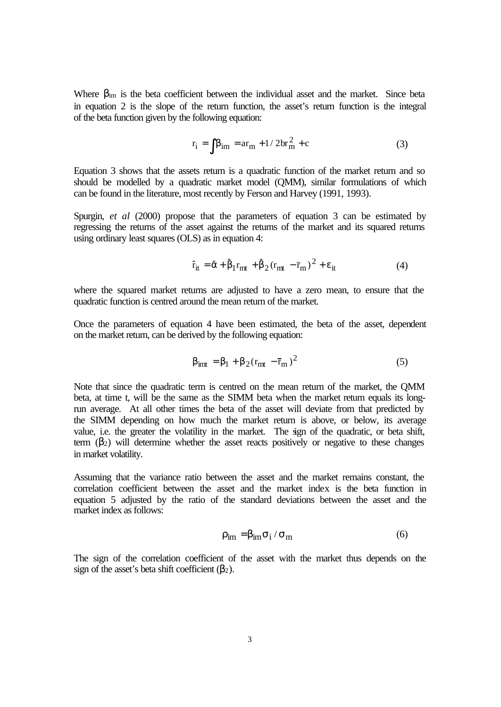Where  $\beta_{\text{im}}$  is the beta coefficient between the individual asset and the market. Since beta in equation 2 is the slope of the return function, the asset's return function is the integral of the beta function given by the following equation:

$$
r_{i} = \int \beta_{im} = ar_{m} + 1/2br_{m}^{2} + c
$$
 (3)

Equation 3 shows that the assets return is a quadratic function of the market return and so should be modelled by a quadratic market model (QMM), similar formulations of which can be found in the literature, most recently by Ferson and Harvey (1991, 1993).

Spurgin, *et al* (2000) propose that the parameters of equation 3 can be estimated by regressing the returns of the asset against the returns of the market and its squared returns using ordinary least squares (OLS) as in equation 4:

$$
\hat{\mathbf{r}}_{it} = \hat{\alpha} + \hat{\beta}_1 \mathbf{r}_{mt} + \hat{\beta}_2 (\mathbf{r}_{mt} - \bar{\mathbf{r}}_m)^2 + \varepsilon_{it}
$$
(4)

where the squared market returns are adjusted to have a zero mean, to ensure that the quadratic function is centred around the mean return of the market.

Once the parameters of equation 4 have been estimated, the beta of the asset, dependent on the market return, can be derived by the following equation:

$$
\beta_{imt} = \beta_1 + \beta_2 (r_{mt} - \bar{r}_m)^2 \tag{5}
$$

Note that since the quadratic term is centred on the mean return of the market, the QMM beta, at time t, will be the same as the SIMM beta when the market return equals its longrun average. At all other times the beta of the asset will deviate from that predicted by the SIMM depending on how much the market return is above, or below, its average value, i.e. the greater the volatility in the market. The sign of the quadratic, or beta shift, term  $(\beta_2)$  will determine whether the asset reacts positively or negative to these changes in market volatility.

Assuming that the variance ratio between the asset and the market remains constant, the correlation coefficient between the asset and the market index is the beta function in equation 5 adjusted by the ratio of the standard deviations between the asset and the market index as follows:

$$
\rho_{\rm im} = \beta_{\rm im} \sigma_{\rm i} / \sigma_{\rm m} \tag{6}
$$

The sign of the correlation coefficient of the asset with the market thus depends on the sign of the asset's beta shift coefficient  $(\beta_2)$ .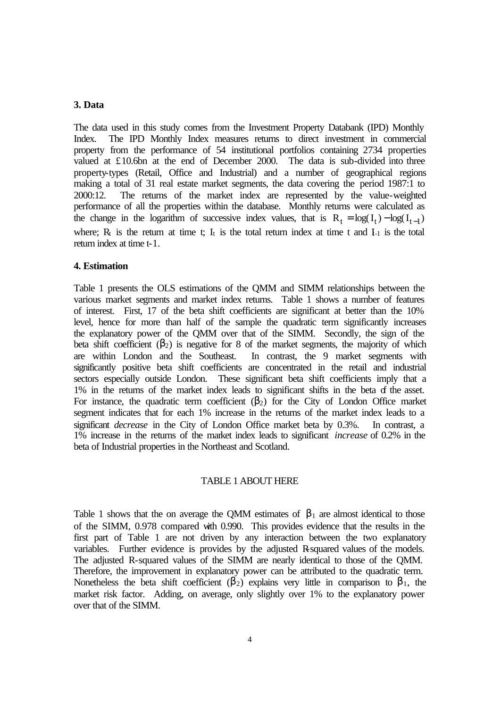## **3. Data**

The data used in this study comes from the Investment Property Databank (IPD) Monthly Index. The IPD Monthly Index measures returns to direct investment in commercial property from the performance of 54 institutional portfolios containing 2734 properties valued at £10.6bn at the end of December 2000. The data is sub-divided into three property-types (Retail, Office and Industrial) and a number of geographical regions making a total of 31 real estate market segments, the data covering the period 1987:1 to 2000:12. The returns of the market index are represented by the value-weighted performance of all the properties within the database. Monthly returns were calculated as the change in the logarithm of successive index values, that is  $R_t = \log(I_t) - \log(I_{t-1})$ where;  $R_t$  is the return at time t;  $I_t$  is the total return index at time t and  $I_{-1}$  is the total return index at time t-1.

### **4. Estimation**

Table 1 presents the OLS estimations of the QMM and SIMM relationships between the various market segments and market index returns. Table 1 shows a number of features of interest. First, 17 of the beta shift coefficients are significant at better than the 10% level, hence for more than half of the sample the quadratic term significantly increases the explanatory power of the QMM over that of the SIMM. Secondly, the sign of the beta shift coefficient  $(\beta_2)$  is negative for 8 of the market segments, the majority of which are within London and the Southeast. In contrast, the 9 market segments with significantly positive beta shift coefficients are concentrated in the retail and industrial sectors especially outside London. These significant beta shift coefficients imply that a 1% in the returns of the market index leads to significant shifts in the beta of the asset. For instance, the quadratic term coefficient  $(\beta_2)$  for the City of London Office market segment indicates that for each 1% increase in the returns of the market index leads to a significant *decrease* in the City of London Office market beta by 0.3%. In contrast, a 1% increase in the returns of the market index leads to significant *increase* of 0.2% in the beta of Industrial properties in the Northeast and Scotland.

#### TABLE 1 ABOUT HERE

Table 1 shows that the on average the QMM estimates of  $\beta_1$  are almost identical to those of the SIMM, 0.978 compared with 0.990. This provides evidence that the results in the first part of Table 1 are not driven by any interaction between the two explanatory variables. Further evidence is provides by the adjusted R squared values of the models. The adjusted R-squared values of the SIMM are nearly identical to those of the QMM. Therefore, the improvement in explanatory power can be attributed to the quadratic term. Nonetheless the beta shift coefficient ( $\beta_2$ ) explains very little in comparison to  $\beta_1$ , the market risk factor. Adding, on average, only slightly over 1% to the explanatory power over that of the SIMM.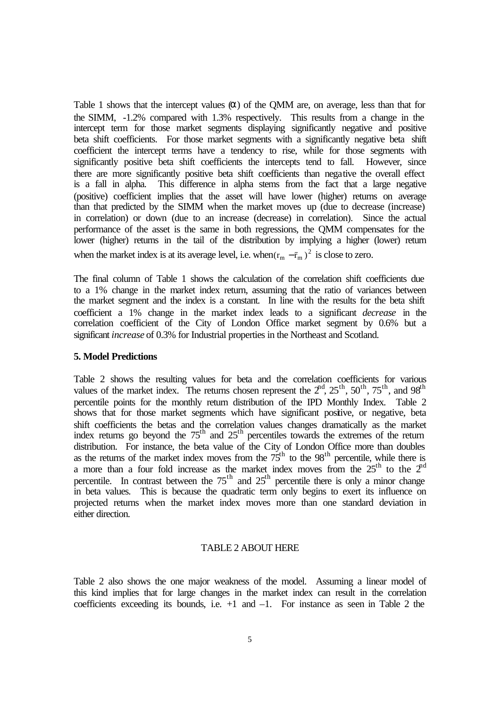Table 1 shows that the intercept values  $(\alpha)$  of the QMM are, on average, less than that for the SIMM, -1.2% compared with 1.3% respectively. This results from a change in the intercept term for those market segments displaying significantly negative and positive beta shift coefficients. For those market segments with a significantly negative beta shift coefficient the intercept terms have a tendency to rise, while for those segments with significantly positive beta shift coefficients the intercepts tend to fall. However, since there are more significantly positive beta shift coefficients than negative the overall effect is a fall in alpha. This difference in alpha stems from the fact that a large negative (positive) coefficient implies that the asset will have lower (higher) returns on average than that predicted by the SIMM when the market moves up (due to decrease (increase) in correlation) or down (due to an increase (decrease) in correlation). Since the actual performance of the asset is the same in both regressions, the QMM compensates for the lower (higher) returns in the tail of the distribution by implying a higher (lower) return when the market index is at its average level, i.e. when  $(r_m - \bar{r}_m)^2$  is close to zero.

The final column of Table 1 shows the calculation of the correlation shift coefficients due to a 1% change in the market index return, assuming that the ratio of variances between the market segment and the index is a constant. In line with the results for the beta shift coefficient a 1% change in the market index leads to a significant *decrease* in the correlation coefficient of the City of London Office market segment by 0.6% but a significant *increase* of 0.3% for Industrial properties in the Northeast and Scotland.

### **5. Model Predictions**

Table 2 shows the resulting values for beta and the correlation coefficients for various values of the market index. The returns chosen represent the  $2<sup>nd</sup>$ ,  $25<sup>th</sup>$ ,  $50<sup>th</sup>$ ,  $75<sup>th</sup>$ , and  $98<sup>th</sup>$ percentile points for the monthly return distribution of the IPD Monthly Index. Table 2 shows that for those market segments which have significant positive, or negative, beta shift coefficients the betas and the correlation values changes dramatically as the market index returns go beyond the  $75<sup>th</sup>$  and  $25<sup>th</sup>$  percentiles towards the extremes of the return distribution. For instance, the beta value of the City of London Office more than doubles as the returns of the market index moves from the  $75<sup>th</sup>$  to the 98<sup>th</sup> percentile, while there is a more than a four fold increase as the market index moves from the  $25<sup>th</sup>$  to the  $2<sup>nd</sup>$ percentile. In contrast between the  $75<sup>th</sup>$  and  $25<sup>th</sup>$  percentile there is only a minor change in beta values. This is because the quadratic term only begins to exert its influence on projected returns when the market index moves more than one standard deviation in either direction.

#### TABLE 2 ABOUT HERE

Table 2 also shows the one major weakness of the model. Assuming a linear model of this kind implies that for large changes in the market index can result in the correlation coefficients exceeding its bounds, i.e.  $+1$  and  $-1$ . For instance as seen in Table 2 the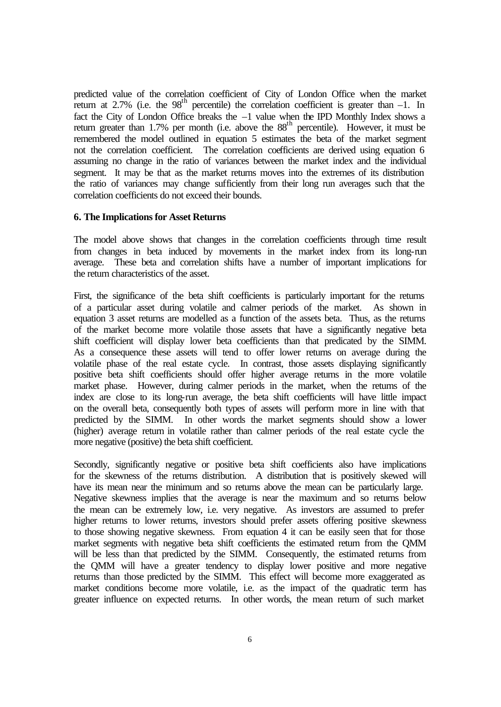predicted value of the correlation coefficient of City of London Office when the market return at 2.7% (i.e. the  $98<sup>th</sup>$  percentile) the correlation coefficient is greater than  $-1$ . In fact the City of London Office breaks the –1 value when the IPD Monthly Index shows a return greater than 1.7% per month (i.e. above the  $88<sup>th</sup>$  percentile). However, it must be remembered the model outlined in equation 5 estimates the beta of the market segment not the correlation coefficient. The correlation coefficients are derived using equation 6 assuming no change in the ratio of variances between the market index and the individual segment. It may be that as the market returns moves into the extremes of its distribution the ratio of variances may change sufficiently from their long run averages such that the correlation coefficients do not exceed their bounds.

#### **6. The Implications for Asset Returns**

The model above shows that changes in the correlation coefficients through time result from changes in beta induced by movements in the market index from its long-run average. These beta and correlation shifts have a number of important implications for the return characteristics of the asset.

First, the significance of the beta shift coefficients is particularly important for the returns of a particular asset during volatile and calmer periods of the market. As shown in equation 3 asset returns are modelled as a function of the assets beta. Thus, as the returns of the market become more volatile those assets that have a significantly negative beta shift coefficient will display lower beta coefficients than that predicated by the SIMM. As a consequence these assets will tend to offer lower returns on average during the volatile phase of the real estate cycle. In contrast, those assets displaying significantly positive beta shift coefficients should offer higher average returns in the more volatile market phase. However, during calmer periods in the market, when the returns of the index are close to its long-run average, the beta shift coefficients will have little impact on the overall beta, consequently both types of assets will perform more in line with that predicted by the SIMM. In other words the market segments should show a lower (higher) average return in volatile rather than calmer periods of the real estate cycle the more negative (positive) the beta shift coefficient.

Secondly, significantly negative or positive beta shift coefficients also have implications for the skewness of the returns distribution. A distribution that is positively skewed will have its mean near the minimum and so returns above the mean can be particularly large. Negative skewness implies that the average is near the maximum and so returns below the mean can be extremely low, i.e. very negative. As investors are assumed to prefer higher returns to lower returns, investors should prefer assets offering positive skewness to those showing negative skewness. From equation 4 it can be easily seen that for those market segments with negative beta shift coefficients the estimated return from the QMM will be less than that predicted by the SIMM. Consequently, the estimated returns from the QMM will have a greater tendency to display lower positive and more negative returns than those predicted by the SIMM. This effect will become more exaggerated as market conditions become more volatile, i.e. as the impact of the quadratic term has greater influence on expected returns. In other words, the mean return of such market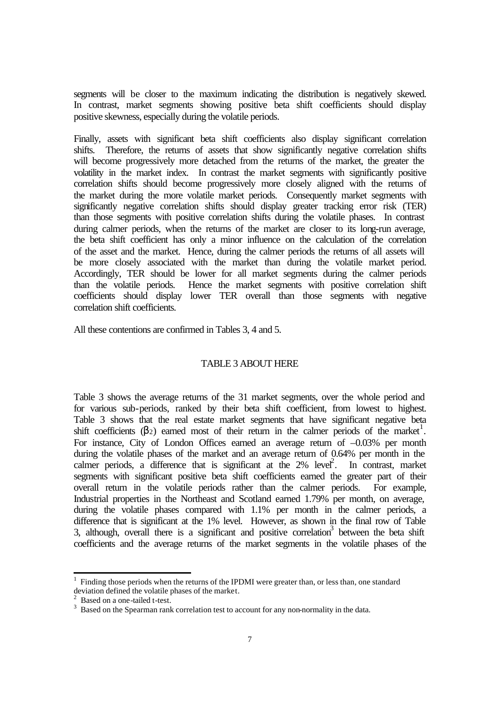segments will be closer to the maximum indicating the distribution is negatively skewed. In contrast, market segments showing positive beta shift coefficients should display positive skewness, especially during the volatile periods.

Finally, assets with significant beta shift coefficients also display significant correlation shifts. Therefore, the returns of assets that show significantly negative correlation shifts will become progressively more detached from the returns of the market, the greater the volatility in the market index. In contrast the market segments with significantly positive correlation shifts should become progressively more closely aligned with the returns of the market during the more volatile market periods. Consequently market segments with significantly negative correlation shifts should display greater tracking error risk (TER) than those segments with positive correlation shifts during the volatile phases. In contrast during calmer periods, when the returns of the market are closer to its long-run average, the beta shift coefficient has only a minor influence on the calculation of the correlation of the asset and the market. Hence, during the calmer periods the returns of all assets will be more closely associated with the market than during the volatile market period. Accordingly, TER should be lower for all market segments during the calmer periods than the volatile periods. Hence the market segments with positive correlation shift coefficients should display lower TER overall than those segments with negative correlation shift coefficients.

All these contentions are confirmed in Tables 3, 4 and 5.

# TABLE 3 ABOUT HERE

Table 3 shows the average returns of the 31 market segments, over the whole period and for various sub-periods, ranked by their beta shift coefficient, from lowest to highest. Table 3 shows that the real estate market segments that have significant negative beta shift coefficients  $(\beta_2)$  earned most of their return in the calmer periods of the market<sup>1</sup>. For instance. City of London Offices earned an average return of  $-0.03\%$  per month during the volatile phases of the market and an average return of 0.64% per month in the calmer periods, a difference that is significant at the  $2\%$  level<sup>2</sup>. In contrast, market segments with significant positive beta shift coefficients earned the greater part of their overall return in the volatile periods rather than the calmer periods. For example, Industrial properties in the Northeast and Scotland earned 1.79% per month, on average, during the volatile phases compared with 1.1% per month in the calmer periods, a difference that is significant at the 1% level. However, as shown in the final row of Table 3, although, overall there is a significant and positive correlation<sup>3</sup> between the beta shift coefficients and the average returns of the market segments in the volatile phases of the

j

 $<sup>1</sup>$  Finding those periods when the returns of the IPDMI were greater than, or less than, one standard</sup> deviation defined the volatile phases of the market. 2 Based on a one-tailed t-test.

 $3$  Based on the Spearman rank correlation test to account for any non-normality in the data.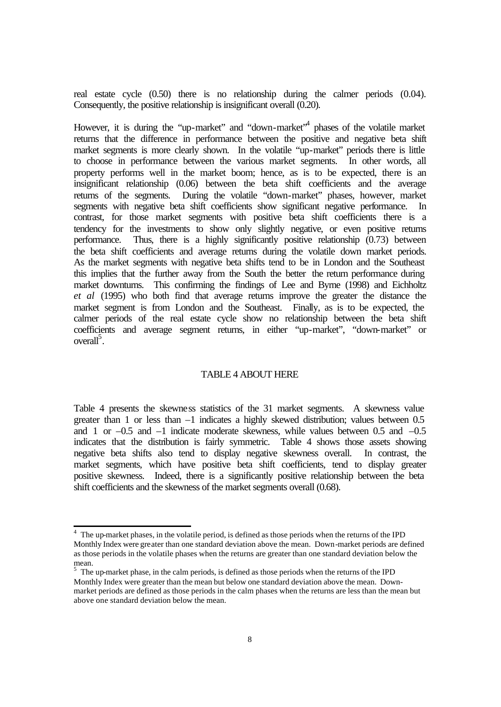real estate cycle (0.50) there is no relationship during the calmer periods (0.04). Consequently, the positive relationship is insignificant overall (0.20).

However, it is during the "up-market" and "down-market"<sup>4</sup> phases of the volatile market returns that the difference in performance between the positive and negative beta shift market segments is more clearly shown. In the volatile "up-market" periods there is little to choose in performance between the various market segments. In other words, all property performs well in the market boom; hence, as is to be expected, there is an insignificant relationship (0.06) between the beta shift coefficients and the average returns of the segments. During the volatile "down-market" phases, however, market segments with negative beta shift coefficients show significant negative performance. In contrast, for those market segments with positive beta shift coefficients there is a tendency for the investments to show only slightly negative, or even positive returns performance. Thus, there is a highly significantly positive relationship (0.73) between the beta shift coefficients and average returns during the volatile down market periods. As the market segments with negative beta shifts tend to be in London and the Southeast this implies that the further away from the South the better the return performance during market downturns. This confirming the findings of Lee and Byrne (1998) and Eichholtz *et al* (1995) who both find that average returns improve the greater the distance the market segment is from London and the Southeast. Finally, as is to be expected, the calmer periods of the real estate cycle show no relationship between the beta shift coefficients and average segment returns, in either "up-market", "down-market" or overall<sup>5</sup>.

#### TABLE 4 ABOUT HERE

Table 4 presents the skewness statistics of the 31 market segments. A skewness value greater than 1 or less than –1 indicates a highly skewed distribution; values between 0.5 and 1 or –0.5 and –1 indicate moderate skewness, while values between 0.5 and –0.5 indicates that the distribution is fairly symmetric. Table 4 shows those assets showing negative beta shifts also tend to display negative skewness overall. In contrast, the market segments, which have positive beta shift coefficients, tend to display greater positive skewness. Indeed, there is a significantly positive relationship between the beta shift coefficients and the skewness of the market segments overall (0.68).

 4 The up-market phases, in the volatile period, is defined as those periods when the returns of the IPD Monthly Index were greater than one standard deviation above the mean. Down-market periods are defined as those periods in the volatile phases when the returns are greater than one standard deviation below the mean. 5 The up-market phase, in the calm periods, is defined as those periods when the returns of the IPD

Monthly Index were greater than the mean but below one standard deviation above the mean. Downmarket periods are defined as those periods in the calm phases when the returns are less than the mean but above one standard deviation below the mean.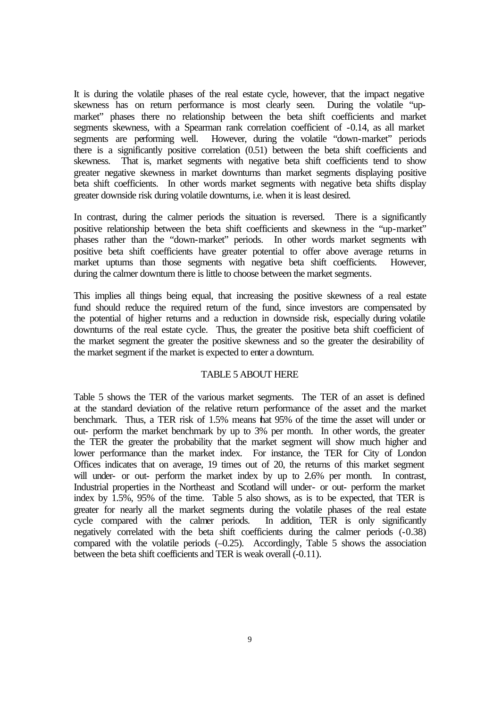It is during the volatile phases of the real estate cycle, however, that the impact negative skewness has on return performance is most clearly seen. During the volatile "upmarket" phases there no relationship between the beta shift coefficients and market segments skewness, with a Spearman rank correlation coefficient of -0.14, as all market segments are performing well. However, during the volatile "down-market" periods there is a significantly positive correlation (0.51) between the beta shift coefficients and skewness. That is, market segments with negative beta shift coefficients tend to show greater negative skewness in market downturns than market segments displaying positive beta shift coefficients. In other words market segments with negative beta shifts display greater downside risk during volatile downturns, i.e. when it is least desired.

In contrast, during the calmer periods the situation is reversed. There is a significantly positive relationship between the beta shift coefficients and skewness in the "up-market" phases rather than the "down-market" periods. In other words market segments with positive beta shift coefficients have greater potential to offer above average returns in market upturns than those segments with negative beta shift coefficients. However, during the calmer downturn there is little to choose between the market segments.

This implies all things being equal, that increasing the positive skewness of a real estate fund should reduce the required return of the fund, since investors are compensated by the potential of higher returns and a reduction in downside risk, especially during volatile downturns of the real estate cycle. Thus, the greater the positive beta shift coefficient of the market segment the greater the positive skewness and so the greater the desirability of the market segment if the market is expected to enter a downturn.

## TABLE 5 ABOUT HERE

Table 5 shows the TER of the various market segments. The TER of an asset is defined at the standard deviation of the relative return performance of the asset and the market benchmark. Thus, a TER risk of 1.5% means that 95% of the time the asset will under or out- perform the market benchmark by up to 3% per month. In other words, the greater the TER the greater the probability that the market segment will show much higher and lower performance than the market index. For instance, the TER for City of London Offices indicates that on average, 19 times out of 20, the returns of this market segment will under- or out- perform the market index by up to 2.6% per month. In contrast, Industrial properties in the Northeast and Scotland will under- or out- perform the market index by 1.5%, 95% of the time. Table 5 also shows, as is to be expected, that TER is greater for nearly all the market segments during the volatile phases of the real estate cycle compared with the calmer periods. In addition, TER is only significantly cycle compared with the calmer periods. negatively correlated with the beta shift coefficients during the calmer periods (-0.38) compared with the volatile periods (–0.25). Accordingly, Table 5 shows the association between the beta shift coefficients and TER is weak overall (-0.11).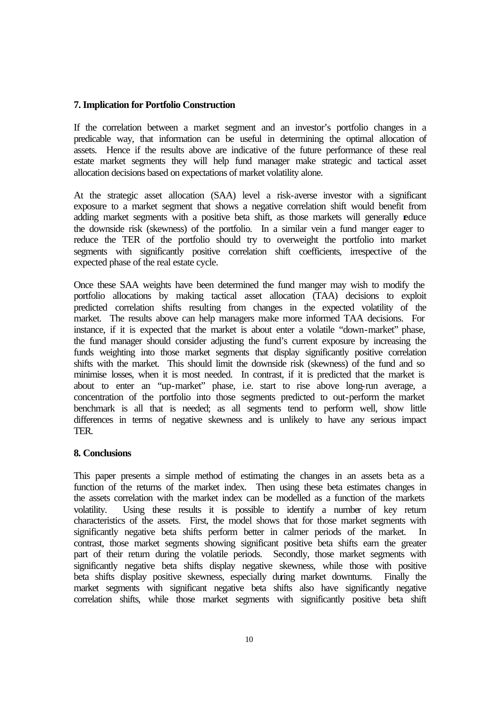## **7. Implication for Portfolio Construction**

If the correlation between a market segment and an investor's portfolio changes in a predicable way, that information can be useful in determining the optimal allocation of assets. Hence if the results above are indicative of the future performance of these real estate market segments they will help fund manager make strategic and tactical asset allocation decisions based on expectations of market volatility alone.

At the strategic asset allocation (SAA) level a risk-averse investor with a significant exposure to a market segment that shows a negative correlation shift would benefit from adding market segments with a positive beta shift, as those markets will generally educe the downside risk (skewness) of the portfolio. In a similar vein a fund manger eager to reduce the TER of the portfolio should try to overweight the portfolio into market segments with significantly positive correlation shift coefficients, irrespective of the expected phase of the real estate cycle.

Once these SAA weights have been determined the fund manger may wish to modify the portfolio allocations by making tactical asset allocation (TAA) decisions to exploit predicted correlation shifts resulting from changes in the expected volatility of the market. The results above can help managers make more informed TAA decisions. For instance, if it is expected that the market is about enter a volatile "down-market" phase, the fund manager should consider adjusting the fund's current exposure by increasing the funds weighting into those market segments that display significantly positive correlation shifts with the market. This should limit the downside risk (skewness) of the fund and so minimise losses, when it is most needed. In contrast, if it is predicted that the market is about to enter an "up-market" phase, i.e. start to rise above long-run average, a concentration of the portfolio into those segments predicted to out-perform the market benchmark is all that is needed; as all segments tend to perform well, show little differences in terms of negative skewness and is unlikely to have any serious impact TER.

## **8. Conclusions**

This paper presents a simple method of estimating the changes in an assets beta as a function of the returns of the market index. Then using these beta estimates changes in the assets correlation with the market index can be modelled as a function of the markets volatility. Using these results it is possible to identify a number of key return characteristics of the assets. First, the model shows that for those market segments with significantly negative beta shifts perform better in calmer periods of the market. In contrast, those market segments showing significant positive beta shifts earn the greater part of their return during the volatile periods. Secondly, those market segments with significantly negative beta shifts display negative skewness, while those with positive beta shifts display positive skewness, especially during market downturns. Finally the market segments with significant negative beta shifts also have significantly negative correlation shifts, while those market segments with significantly positive beta shift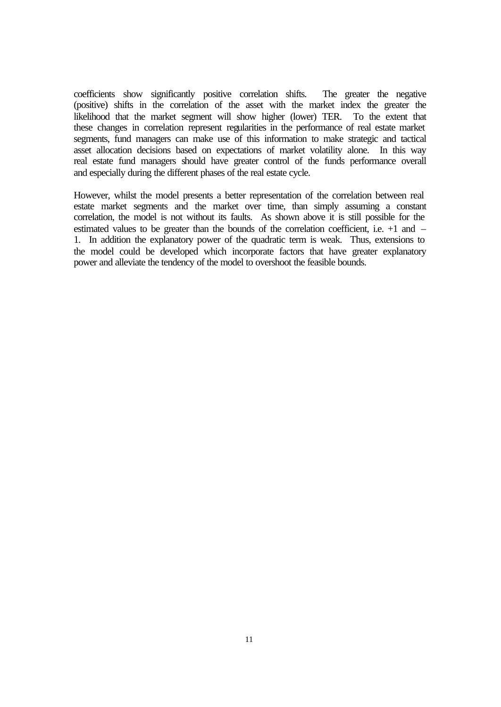coefficients show significantly positive correlation shifts. The greater the negative (positive) shifts in the correlation of the asset with the market index the greater the likelihood that the market segment will show higher (lower) TER. To the extent that these changes in correlation represent regularities in the performance of real estate market segments, fund managers can make use of this information to make strategic and tactical asset allocation decisions based on expectations of market volatility alone. In this way real estate fund managers should have greater control of the funds performance overall and especially during the different phases of the real estate cycle.

However, whilst the model presents a better representation of the correlation between real estate market segments and the market over time, than simply assuming a constant correlation, the model is not without its faults. As shown above it is still possible for the estimated values to be greater than the bounds of the correlation coefficient, i.e. +1 and – 1. In addition the explanatory power of the quadratic term is weak. Thus, extensions to the model could be developed which incorporate factors that have greater explanatory power and alleviate the tendency of the model to overshoot the feasible bounds.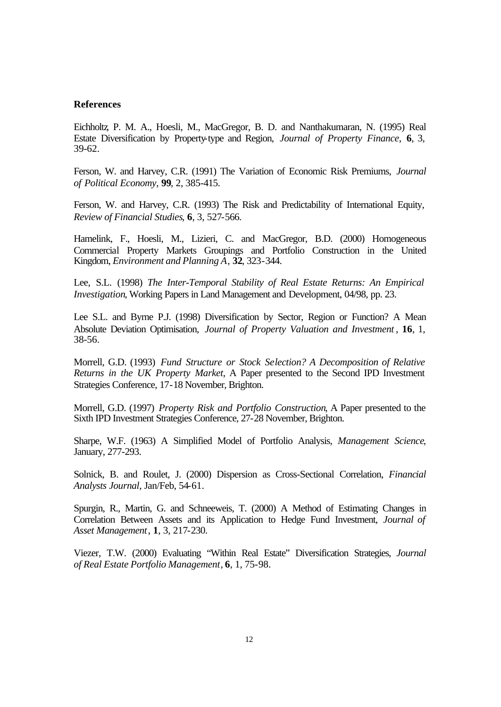#### **References**

Eichholtz, P. M. A., Hoesli, M., MacGregor, B. D. and Nanthakumaran, N. (1995) Real Estate Diversification by Property-type and Region, *Journal of Property Finance*, **6**, 3, 39-62.

Ferson, W. and Harvey, C.R. (1991) The Variation of Economic Risk Premiums, *Journal of Political Economy*, **99**, 2, 385-415.

Ferson, W. and Harvey, C.R. (1993) The Risk and Predictability of International Equity, *Review of Financial Studies*, **6**, 3, 527-566.

Hamelink, F., Hoesli, M., Lizieri, C. and MacGregor, B.D. (2000) Homogeneous Commercial Property Markets Groupings and Portfolio Construction in the United Kingdom, *Environment and Planning A*, **32**, 323-344.

Lee, S.L. (1998) *The Inter-Temporal Stability of Real Estate Returns: An Empirical Investigation*, Working Papers in Land Management and Development, 04/98, pp. 23.

Lee S.L. and Byrne P.J. (1998) Diversification by Sector, Region or Function? A Mean Absolute Deviation Optimisation, *Journal of Property Valuation and Investment* , **16**, 1, 38-56.

Morrell, G.D. (1993) *Fund Structure or Stock Selection? A Decomposition of Relative Returns in the UK Property Market*, A Paper presented to the Second IPD Investment Strategies Conference, 17-18 November, Brighton.

Morrell, G.D. (1997) *Property Risk and Portfolio Construction*, A Paper presented to the Sixth IPD Investment Strategies Conference, 27-28 November, Brighton.

Sharpe, W.F. (1963) A Simplified Model of Portfolio Analysis, *Management Science*, January, 277-293.

Solnick, B. and Roulet, J. (2000) Dispersion as Cross-Sectional Correlation, *Financial Analysts Journal*, Jan/Feb, 54-61.

Spurgin, R., Martin, G. and Schneeweis, T. (2000) A Method of Estimating Changes in Correlation Between Assets and its Application to Hedge Fund Investment, *Journal of Asset Management*, **1**, 3, 217-230.

Viezer, T.W. (2000) Evaluating "Within Real Estate" Diversification Strategies, *Journal of Real Estate Portfolio Management*, **6**, 1, 75-98.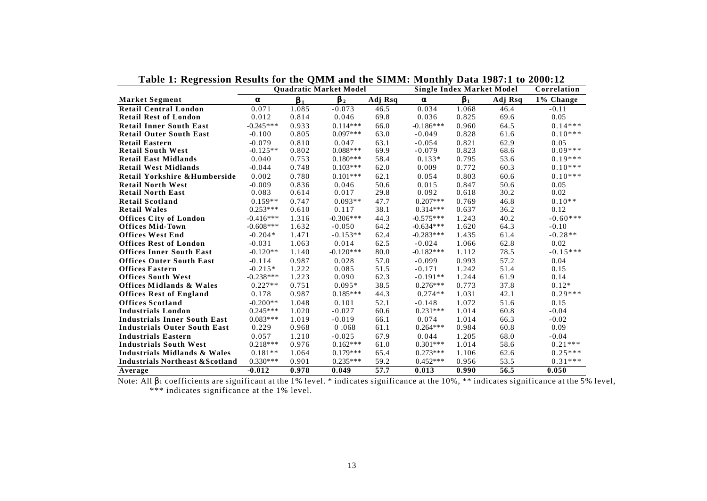|                                             |             | <b>Ouadratic Market Model</b> |                | <b>Single Index Market Model</b> | Correlation |                           |         |              |
|---------------------------------------------|-------------|-------------------------------|----------------|----------------------------------|-------------|---------------------------|---------|--------------|
| <b>Market Segment</b>                       | a           | Ъ,                            | $\mathbf{b}_2$ | Adj Rsq                          | a           | $\overline{\mathbf{b}_1}$ | Adj Rsq | $1\%$ Change |
| <b>Retail Central London</b>                | 0.071       | 1.085                         | $-0.073$       | 46.5                             | 0.034       | 1.068                     | 46.4    | $-0.11$      |
| <b>Retail Rest of London</b>                | 0.012       | 0.814                         | 0.046          | 69.8                             | 0.036       | 0.825                     | 69.6    | 0.05         |
| <b>Retail Inner South East</b>              | $-0.245***$ | 0.933                         | $0.114***$     | 66.0                             | $-0.186***$ | 0.960                     | 64.5    | $0.14***$    |
| <b>Retail Outer South East</b>              | $-0.100$    | 0.805                         | $0.097***$     | 63.0                             | $-0.049$    | 0.828                     | 61.6    | $0.10***$    |
| <b>Retail Eastern</b>                       | $-0.079$    | 0.810                         | 0.047          | 63.1                             | $-0.054$    | 0.821                     | 62.9    | 0.05         |
| <b>Retail South West</b>                    | $-0.125**$  | 0.802                         | $0.088***$     | 69.9                             | $-0.079$    | 0.823                     | 68.6    | $0.09***$    |
| <b>Retail East Midlands</b>                 | 0.040       | 0.753                         | $0.180***$     | 58.4                             | $0.133*$    | 0.795                     | 53.6    | $0.19***$    |
| <b>Retail West Midlands</b>                 | $-0.044$    | 0.748                         | $0.103***$     | 62.0                             | 0.009       | 0.772                     | 60.3    | $0.10***$    |
| Retail Yorkshire & Humberside               | 0.002       | 0.780                         | $0.101***$     | 62.1                             | 0.054       | 0.803                     | 60.6    | $0.10***$    |
| <b>Retail North West</b>                    | $-0.009$    | 0.836                         | 0.046          | 50.6                             | 0.015       | 0.847                     | 50.6    | 0.05         |
| <b>Retail North East</b>                    | 0.083       | 0.614                         | 0.017          | 29.8                             | 0.092       | 0.618                     | 30.2    | 0.02         |
| <b>Retail Scotland</b>                      | $0.159**$   | 0.747                         | $0.093**$      | 47.7                             | $0.207***$  | 0.769                     | 46.8    | $0.10**$     |
| <b>Retail Wales</b>                         | $0.253***$  | 0.610                         | 0.117          | 38.1                             | $0.314***$  | 0.637                     | 36.2    | 0.12         |
| <b>Offices City of London</b>               | $-0.416***$ | 1.316                         | $-0.306***$    | 44.3                             | $-0.575***$ | 1.243                     | 40.2    | $-0.60***$   |
| <b>Offices Mid-Town</b>                     | $-0.608***$ | 1.632                         | $-0.050$       | 64.2                             | $-0.634***$ | 1.620                     | 64.3    | $-0.10$      |
| <b>Offices West End</b>                     | $-0.204*$   | 1.471                         | $-0.153**$     | 62.4                             | $-0.283***$ | 1.435                     | 61.4    | $-0.28**$    |
| <b>Offices Rest of London</b>               | $-0.031$    | 1.063                         | 0.014          | 62.5                             | $-0.024$    | 1.066                     | 62.8    | 0.02         |
| <b>Offices Inner South East</b>             | $-0.120**$  | 1.140                         | $-0.120***$    | 80.0                             | $-0.182***$ | 1.112                     | 78.5    | $-0.15***$   |
| <b>Offices Outer South East</b>             | $-0.114$    | 0.987                         | 0.028          | 57.0                             | $-0.099$    | 0.993                     | 57.2    | 0.04         |
| <b>Offices Eastern</b>                      | $-0.215*$   | 1.222                         | 0.085          | 51.5                             | $-0.171$    | 1.242                     | 51.4    | 0.15         |
| <b>Offices South West</b>                   | $-0.238***$ | 1.223                         | 0.090          | 62.3                             | $-0.191**$  | 1.244                     | 61.9    | 0.14         |
| <b>Offices Midlands &amp; Wales</b>         | $0.227**$   | 0.751                         | $0.095*$       | 38.5                             | $0.276***$  | 0.773                     | 37.8    | $0.12*$      |
| <b>Offices Rest of England</b>              | 0.178       | 0.987                         | $0.185***$     | 44.3                             | $0.274**$   | 1.031                     | 42.1    | $0.29***$    |
| <b>Offices Scotland</b>                     | $-0.200**$  | 1.048                         | 0.101          | 52.1                             | $-0.148$    | 1.072                     | 51.6    | 0.15         |
| <b>Industrials London</b>                   | $0.245***$  | 1.020                         | $-0.027$       | 60.6                             | $0.231***$  | 1.014                     | 60.8    | $-0.04$      |
| <b>Industrials Inner South East</b>         | $0.083***$  | 1.019                         | $-0.019$       | 66.1                             | 0.074       | 1.014                     | 66.3    | $-0.02$      |
| <b>Industrials Outer South East</b>         | 0.229       | 0.968                         | 0.068          | 61.1                             | $0.264***$  | 0.984                     | 60.8    | 0.09         |
| <b>Industrials Eastern</b>                  | 0.057       | 1.210                         | $-0.025$       | 67.9                             | 0.044       | 1.205                     | 68.0    | $-0.04$      |
| <b>Industrials South West</b>               | $0.218***$  | 0.976                         | $0.162***$     | 61.0                             | $0.301***$  | 1.014                     | 58.6    | $0.21***$    |
| Industrials Midlands & Wales                | $0.181**$   | 1.064                         | $0.179***$     | 65.4                             | $0.273***$  | 1.106                     | 62.6    | $0.25***$    |
| <b>Industrials Northeast &amp; Scotland</b> | $0.330***$  | 0.901                         | $0.235***$     | 59.2                             | $0.452***$  | 0.956                     | 53.5    | $0.31***$    |
| Average                                     | $-0.012$    | 0.978                         | 0.049          | $\overline{57.7}$                | 0.013       | 0.990                     | 56.5    | 0.050        |

**Table 1: Regression Results for the QMM and the SIMM: Monthly Data 1987:1 to 2000:12**

Note: All β1 coefficients are significant at the 1% level. \* indicates significance at the 10%, \*\* indicates significance at the 5% level, \*\*\* indicates significance at the 1% level.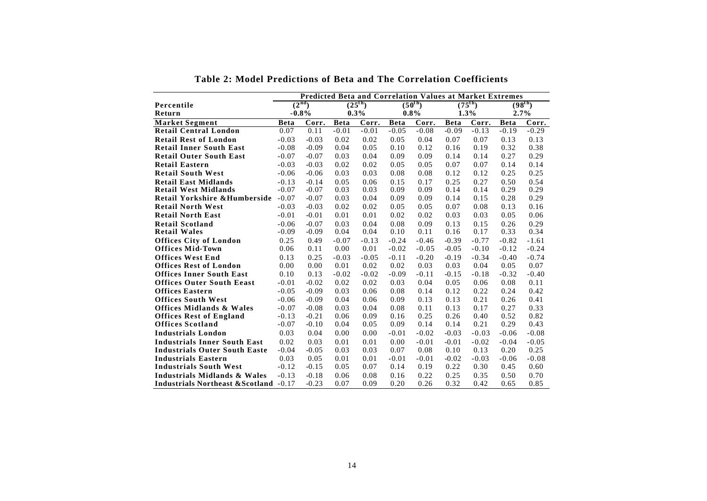|                                                   | <b>Predicted Beta and Correlation Values at Market Extremes</b> |         |             |             |             |             |             |         |                     |         |
|---------------------------------------------------|-----------------------------------------------------------------|---------|-------------|-------------|-------------|-------------|-------------|---------|---------------------|---------|
| Percentile                                        | (2 <sup>nd</sup> )                                              |         |             | $(25^{th})$ |             | $(50^{th})$ | $(75^{th})$ |         | (98 <sup>th</sup> ) |         |
| Return                                            |                                                                 | $-0.8%$ | 0.3%        |             | $0.8\%$     |             | 1.3%        |         | 2.7%                |         |
| <b>Market Segment</b>                             | <b>Beta</b>                                                     | Corr.   | <b>Beta</b> | Corr.       | <b>Beta</b> | Corr.       | <b>Beta</b> | Corr.   | <b>Beta</b>         | Corr.   |
| <b>Retail Central London</b>                      | 0.07                                                            | 0.11    | $-0.01$     | $-0.01$     | $-0.05$     | $-0.08$     | $-0.09$     | $-0.13$ | $-0.19$             | $-0.29$ |
| <b>Retail Rest of London</b>                      | $-0.03$                                                         | $-0.03$ | 0.02        | 0.02        | 0.05        | 0.04        | 0.07        | 0.07    | 0.13                | 0.13    |
| <b>Retail Inner South East</b>                    | $-0.08$                                                         | $-0.09$ | 0.04        | 0.05        | 0.10        | 0.12        | 0.16        | 0.19    | 0.32                | 0.38    |
| <b>Retail Outer South East</b>                    | $-0.07$                                                         | $-0.07$ | 0.03        | 0.04        | 0.09        | 0.09        | 0.14        | 0.14    | 0.27                | 0.29    |
| <b>Retail Eastern</b>                             | $-0.03$                                                         | $-0.03$ | 0.02        | 0.02        | 0.05        | 0.05        | 0.07        | 0.07    | 0.14                | 0.14    |
| <b>Retail South West</b>                          | $-0.06$                                                         | $-0.06$ | 0.03        | 0.03        | 0.08        | 0.08        | 0.12        | 0.12    | 0.25                | 0.25    |
| <b>Retail East Midlands</b>                       | $-0.13$                                                         | $-0.14$ | 0.05        | 0.06        | 0.15        | 0.17        | 0.25        | 0.27    | 0.50                | 0.54    |
| <b>Retail West Midlands</b>                       | $-0.07$                                                         | $-0.07$ | 0.03        | 0.03        | 0.09        | 0.09        | 0.14        | 0.14    | 0.29                | 0.29    |
| Retail Yorkshire & Humberside                     | $-0.07$                                                         | $-0.07$ | 0.03        | 0.04        | 0.09        | 0.09        | 0.14        | 0.15    | 0.28                | 0.29    |
| <b>Retail North West</b>                          | $-0.03$                                                         | $-0.03$ | 0.02        | 0.02        | 0.05        | 0.05        | 0.07        | 0.08    | 0.13                | 0.16    |
| <b>Retail North East</b>                          | $-0.01$                                                         | $-0.01$ | 0.01        | 0.01        | 0.02        | 0.02        | 0.03        | 0.03    | 0.05                | 0.06    |
| <b>Retail Scotland</b>                            | $-0.06$                                                         | $-0.07$ | 0.03        | 0.04        | 0.08        | 0.09        | 0.13        | 0.15    | 0.26                | 0.29    |
| <b>Retail Wales</b>                               | $-0.09$                                                         | $-0.09$ | 0.04        | 0.04        | 0.10        | 0.11        | 0.16        | 0.17    | 0.33                | 0.34    |
| <b>Offices City of London</b>                     | 0.25                                                            | 0.49    | $-0.07$     | $-0.13$     | $-0.24$     | $-0.46$     | $-0.39$     | $-0.77$ | $-0.82$             | $-1.61$ |
| <b>Offices Mid-Town</b>                           | 0.06                                                            | 0.11    | 0.00        | 0.01        | $-0.02$     | $-0.05$     | $-0.05$     | $-0.10$ | $-0.12$             | $-0.24$ |
| <b>Offices West End</b>                           | 0.13                                                            | 0.25    | $-0.03$     | $-0.05$     | $-0.11$     | $-0.20$     | $-0.19$     | $-0.34$ | $-0.40$             | $-0.74$ |
| <b>Offices Rest of London</b>                     | 0.00                                                            | 0.00    | 0.01        | 0.02        | 0.02        | 0.03        | 0.03        | 0.04    | 0.05                | 0.07    |
| <b>Offices Inner South East</b>                   | 0.10                                                            | 0.13    | $-0.02$     | $-0.02$     | $-0.09$     | $-0.11$     | $-0.15$     | $-0.18$ | $-0.32$             | $-0.40$ |
| <b>Offices Outer South Eeast</b>                  | $-0.01$                                                         | $-0.02$ | 0.02        | 0.02        | 0.03        | 0.04        | 0.05        | 0.06    | 0.08                | 0.11    |
| <b>Offices Eastern</b>                            | $-0.05$                                                         | $-0.09$ | 0.03        | 0.06        | 0.08        | 0.14        | 0.12        | 0.22    | 0.24                | 0.42    |
| <b>Offices South West</b>                         | $-0.06$                                                         | $-0.09$ | 0.04        | 0.06        | 0.09        | 0.13        | 0.13        | 0.21    | 0.26                | 0.41    |
| <b>Offices Midlands &amp; Wales</b>               | $-0.07$                                                         | $-0.08$ | 0.03        | 0.04        | 0.08        | 0.11        | 0.13        | 0.17    | 0.27                | 0.33    |
| <b>Offices Rest of England</b>                    | $-0.13$                                                         | $-0.21$ | 0.06        | 0.09        | 0.16        | 0.25        | 0.26        | 0.40    | 0.52                | 0.82    |
| <b>Offices Scotland</b>                           | $-0.07$                                                         | $-0.10$ | 0.04        | 0.05        | 0.09        | 0.14        | 0.14        | 0.21    | 0.29                | 0.43    |
| <b>Industrials London</b>                         | 0.03                                                            | 0.04    | 0.00        | 0.00        | $-0.01$     | $-0.02$     | $-0.03$     | $-0.03$ | $-0.06$             | $-0.08$ |
| <b>Industrials Inner South East</b>               | 0.02                                                            | 0.03    | 0.01        | 0.01        | 0.00        | $-0.01$     | $-0.01$     | $-0.02$ | $-0.04$             | $-0.05$ |
| <b>Industrials Outer South Easte</b>              | $-0.04$                                                         | $-0.05$ | 0.03        | 0.03        | 0.07        | 0.08        | 0.10        | 0.13    | 0.20                | 0.25    |
| <b>Industrials Eastern</b>                        | 0.03                                                            | 0.05    | 0.01        | 0.01        | $-0.01$     | $-0.01$     | $-0.02$     | $-0.03$ | $-0.06$             | $-0.08$ |
| <b>Industrials South West</b>                     | $-0.12$                                                         | $-0.15$ | 0.05        | 0.07        | 0.14        | 0.19        | 0.22        | 0.30    | 0.45                | 0.60    |
| Industrials Midlands & Wales                      | $-0.13$                                                         | $-0.18$ | 0.06        | 0.08        | 0.16        | 0.22        | 0.25        | 0.35    | 0.50                | 0.70    |
| <b>Industrials Northeast &amp; Scotland -0.17</b> |                                                                 | $-0.23$ | 0.07        | 0.09        | 0.20        | 0.26        | 0.32        | 0.42    | 0.65                | 0.85    |

**Table 2: Model Predictions of Beta and The Correlation Coefficients**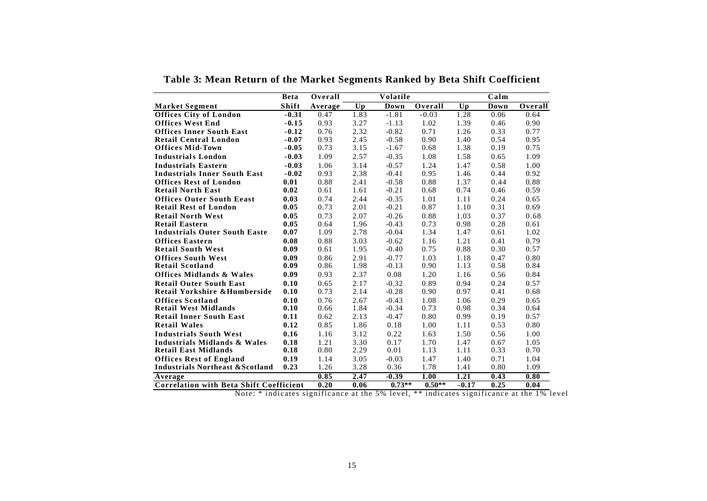|                                                | <b>Beta</b> | Overall |      | Volatile |          |         | Calm        |         |
|------------------------------------------------|-------------|---------|------|----------|----------|---------|-------------|---------|
| <b>Market Segment</b>                          | Shift       | Average | Up   | Down     | Overall  | Up      | <b>Down</b> | Overall |
| <b>Offices City of London</b>                  | $-0.31$     | 0.47    | 1.83 | $-1.81$  | $-0.03$  | 1.28    | 0.06        | 0.64    |
| <b>Offices West End</b>                        | $-0.15$     | 0.93    | 3.27 | $-1.13$  | 1.02     | 1.39    | 0.46        | 0.90    |
| <b>Offices Inner South East</b>                | $-0.12$     | 0.76    | 2.32 | $-0.82$  | 0.71     | 1.26    | 0.33        | 0.77    |
| <b>Retail Central London</b>                   | $-0.07$     | 0.93    | 2.45 | $-0.58$  | 0.90     | 1.40    | 0.54        | 0.95    |
| <b>Offices Mid-Town</b>                        | $-0.05$     | 0.73    | 3.15 | $-1.67$  | 0.68     | 1.38    | 0.19        | 0.75    |
| <b>Industrials London</b>                      | $-0.03$     | 1.09    | 2.57 | $-0.35$  | 1.08     | 1.58    | 0.65        | 1.09    |
| <b>Industrials Eastern</b>                     | $-0.03$     | 1.06    | 3.14 | $-0.57$  | 1.24     | 1.47    | 0.58        | 1.00    |
| <b>Industrials Inner South East</b>            | $-0.02$     | 0.93    | 2.38 | $-0.41$  | 0.95     | 1.46    | 0.44        | 0.92    |
| <b>Offices Rest of London</b>                  | 0.01        | 0.88    | 2.41 | $-0.58$  | 0.88     | 1.37    | 0.44        | 0.88    |
| <b>Retail North East</b>                       | 0.02        | 0.61    | 1.61 | $-0.21$  | 0.68     | 0.74    | 0.46        | 0.59    |
| <b>Offices Outer South Eeast</b>               | 0.03        | 0.74    | 2.44 | $-0.35$  | 1.01     | 1.11    | 0.24        | 0.65    |
| <b>Retail Rest of London</b>                   | 0.05        | 0.73    | 2.01 | $-0.21$  | 0.87     | 1.10    | 0.31        | 0.69    |
| <b>Retail North West</b>                       | 0.05        | 0.73    | 2.07 | $-0.26$  | 0.88     | 1.03    | 0.37        | 0.68    |
| <b>Retail Eastern</b>                          | 0.05        | 0.64    | 1.96 | $-0.43$  | 0.73     | 0.98    | 0.28        | 0.61    |
| <b>Industrials Outer South Easte</b>           | 0.07        | 1.09    | 2.78 | $-0.04$  | 1.34     | 1.47    | 0.61        | 1.02    |
| <b>Offices Eastern</b>                         | 0.08        | 0.88    | 3.03 | $-0.62$  | 1.16     | 1.21    | 0.41        | 0.79    |
| <b>Retail South West</b>                       | 0.09        | 0.61    | 1.95 | $-0.40$  | 0.75     | 0.88    | 0.30        | 0.57    |
| <b>Offices South West</b>                      | 0.09        | 0.86    | 2.91 | $-0.77$  | 1.03     | 1.18    | 0.47        | 0.80    |
| <b>Retail Scotland</b>                         | 0.09        | 0.86    | 1.98 | $-0.13$  | 0.90     | 1.13    | 0.58        | 0.84    |
| <b>Offices Midlands &amp; Wales</b>            | 0.09        | 0.93    | 2.37 | 0.08     | 1.20     | 1.16    | 0.56        | 0.84    |
| <b>Retail Outer South East</b>                 | 0.10        | 0.65    | 2.17 | $-0.32$  | 0.89     | 0.94    | 0.24        | 0.57    |
| Retail Yorkshire & Humberside                  | 0.10        | 0.73    | 2.14 | $-0.28$  | 0.90     | 0.97    | 0.41        | 0.68    |
| <b>Offices Scotland</b>                        | 0.10        | 0.76    | 2.67 | $-0.43$  | 1.08     | 1.06    | 0.29        | 0.65    |
| <b>Retail West Midlands</b>                    | 0.10        | 0.66    | 1.84 | $-0.34$  | 0.73     | 0.98    | 0.34        | 0.64    |
| <b>Retail Inner South East</b>                 | 0.11        | 0.62    | 2.13 | $-0.47$  | 0.80     | 0.99    | 0.19        | 0.57    |
| <b>Retail Wales</b>                            | 0.12        | 0.85    | 1.86 | 0.18     | 1.00     | 1.11    | 0.53        | 0.80    |
| <b>Industrials South West</b>                  | 0.16        | 1.16    | 3.12 | 0.22     | 1.63     | 1.50    | 0.56        | 1.00    |
| Industrials Midlands & Wales                   | 0.18        | 1.21    | 3.30 | 0.17     | 1.70     | 1.47    | 0.67        | 1.05    |
| <b>Retail East Midlands</b>                    | 0.18        | 0.80    | 2.29 | 0.01     | 1.13     | 1.11    | 0.33        | 0.70    |
| <b>Offices Rest of England</b>                 | 0.19        | 1.14    | 3.05 | $-0.03$  | 1.47     | 1.40    | 0.71        | 1.04    |
| <b>Industrials Northeast &amp; Scotland</b>    | 0.23        | 1.26    | 3.28 | 0.36     | 1.78     | 1.41    | 0.80        | 1.09    |
| Average                                        |             | 0.85    | 2.47 | $-0.39$  | 1.00     | 1.21    | 0.43        | 0.80    |
| <b>Correlation with Beta Shift Coefficient</b> |             | 0.20    | 0.06 | $0.73**$ | $0.50**$ | $-0.17$ | 0.25        | 0.04    |

**Table 3: Mean Return of the Market Segments Ranked by Beta Shift Coefficient**

Note: \* indicates significance at the 5% level, \*\* indicates significance at the 1% level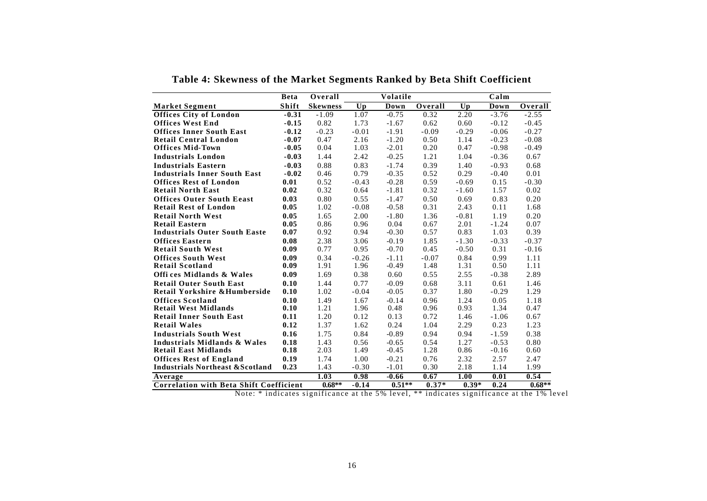|                                                | <b>Beta</b> | Overall         | <b>Volatile</b> |          |         |         | Calm    |          |  |
|------------------------------------------------|-------------|-----------------|-----------------|----------|---------|---------|---------|----------|--|
| <b>Market Segment</b>                          | Shift       | <b>Skewness</b> | Up              | Down     | Overall | Up      | Down    | Overall  |  |
| <b>Offices City of London</b>                  | $-0.31$     | $-1.09$         | 1.07            | $-0.75$  | 0.32    | 2.20    | $-3.76$ | $-2.55$  |  |
| <b>Offices West End</b>                        | $-0.15$     | 0.82            | 1.73            | $-1.67$  | 0.62    | 0.60    | $-0.12$ | $-0.45$  |  |
| <b>Offices Inner South East</b>                | $-0.12$     | $-0.23$         | $-0.01$         | $-1.91$  | $-0.09$ | $-0.29$ | $-0.06$ | $-0.27$  |  |
| <b>Retail Central London</b>                   | $-0.07$     | 0.47            | 2.16            | $-1.20$  | 0.50    | 1.14    | $-0.23$ | $-0.08$  |  |
| <b>Offices Mid-Town</b>                        | $-0.05$     | 0.04            | 1.03            | $-2.01$  | 0.20    | 0.47    | $-0.98$ | $-0.49$  |  |
| <b>Industrials London</b>                      | $-0.03$     | 1.44            | 2.42            | $-0.25$  | 1.21    | 1.04    | $-0.36$ | 0.67     |  |
| <b>Industrials Eastern</b>                     | $-0.03$     | 0.88            | 0.83            | $-1.74$  | 0.39    | 1.40    | $-0.93$ | 0.68     |  |
| <b>Industrials Inner South East</b>            | $-0.02$     | 0.46            | 0.79            | $-0.35$  | 0.52    | 0.29    | $-0.40$ | 0.01     |  |
| <b>Offices Rest of London</b>                  | 0.01        | 0.52            | $-0.43$         | $-0.28$  | 0.59    | $-0.69$ | 0.15    | $-0.30$  |  |
| <b>Retail North East</b>                       | 0.02        | 0.32            | 0.64            | $-1.81$  | 0.32    | $-1.60$ | 1.57    | 0.02     |  |
| <b>Offices Outer South Eeast</b>               | 0.03        | 0.80            | 0.55            | $-1.47$  | 0.50    | 0.69    | 0.83    | 0.20     |  |
| <b>Retail Rest of London</b>                   | 0.05        | 1.02            | $-0.08$         | $-0.58$  | 0.31    | 2.43    | 0.11    | 1.68     |  |
| <b>Retail North West</b>                       | 0.05        | 1.65            | 2.00            | $-1.80$  | 1.36    | $-0.81$ | 1.19    | 0.20     |  |
| <b>Retail Eastern</b>                          | 0.05        | 0.86            | 0.96            | 0.04     | 0.67    | 2.01    | $-1.24$ | 0.07     |  |
| <b>Industrials Outer South Easte</b>           | 0.07        | 0.92            | 0.94            | $-0.30$  | 0.57    | 0.83    | 1.03    | 0.39     |  |
| <b>Offices Eastern</b>                         | 0.08        | 2.38            | 3.06            | $-0.19$  | 1.85    | $-1.30$ | $-0.33$ | $-0.37$  |  |
| <b>Retail South West</b>                       | 0.09        | 0.77            | 0.95            | $-0.70$  | 0.45    | $-0.50$ | 0.31    | $-0.16$  |  |
| <b>Offices South West</b>                      | 0.09        | 0.34            | $-0.26$         | $-1.11$  | $-0.07$ | 0.84    | 0.99    | 1.11     |  |
| <b>Retail Scotland</b>                         | 0.09        | 1.91            | 1.96            | $-0.49$  | 1.48    | 1.31    | 0.50    | 1.11     |  |
| Offices Midlands & Wales                       | 0.09        | 1.69            | 0.38            | 0.60     | 0.55    | 2.55    | $-0.38$ | 2.89     |  |
| <b>Retail Outer South East</b>                 | 0.10        | 1.44            | 0.77            | $-0.09$  | 0.68    | 3.11    | 0.61    | 1.46     |  |
| Retail Yorkshire & Humberside                  | 0.10        | 1.02            | $-0.04$         | $-0.05$  | 0.37    | 1.80    | $-0.29$ | 1.29     |  |
| <b>Offices Scotland</b>                        | 0.10        | 1.49            | 1.67            | $-0.14$  | 0.96    | 1.24    | 0.05    | 1.18     |  |
| <b>Retail West Midlands</b>                    | 0.10        | 1.21            | 1.96            | 0.48     | 0.96    | 0.93    | 1.34    | 0.47     |  |
| <b>Retail Inner South East</b>                 | 0.11        | 1.20            | 0.12            | 0.13     | 0.72    | 1.46    | $-1.06$ | 0.67     |  |
| <b>Retail Wales</b>                            | 0.12        | 1.37            | 1.62            | 0.24     | 1.04    | 2.29    | 0.23    | 1.23     |  |
| <b>Industrials South West</b>                  | 0.16        | 1.75            | 0.84            | $-0.89$  | 0.94    | 0.94    | $-1.59$ | 0.38     |  |
| Industrials Midlands & Wales                   | 0.18        | 1.43            | 0.56            | $-0.65$  | 0.54    | 1.27    | $-0.53$ | 0.80     |  |
| <b>Retail East Midlands</b>                    | 0.18        | 2.03            | 1.49            | $-0.45$  | 1.28    | 0.86    | $-0.16$ | 0.60     |  |
| <b>Offices Rest of England</b>                 | 0.19        | 1.74            | 1.00            | $-0.21$  | 0.76    | 2.32    | 2.57    | 2.47     |  |
| <b>Industrials Northeast &amp; Scotland</b>    | 0.23        | 1.43            | $-0.30$         | $-1.01$  | 0.30    | 2.18    | 1.14    | 1.99     |  |
| Average                                        |             | 1.03            | 0.98            | $-0.66$  | 0.67    | 1.00    | 0.01    | 0.54     |  |
| <b>Correlation with Beta Shift Coefficient</b> |             | $0.68**$        | $-0.14$         | $0.51**$ | $0.37*$ | $0.39*$ | 0.24    | $0.68**$ |  |

**Table 4: Skewness of the Market Segments Ranked by Beta Shift Coefficient**

Note: \* indicates significance at the 5% level, \*\* indicates significance at the 1% level